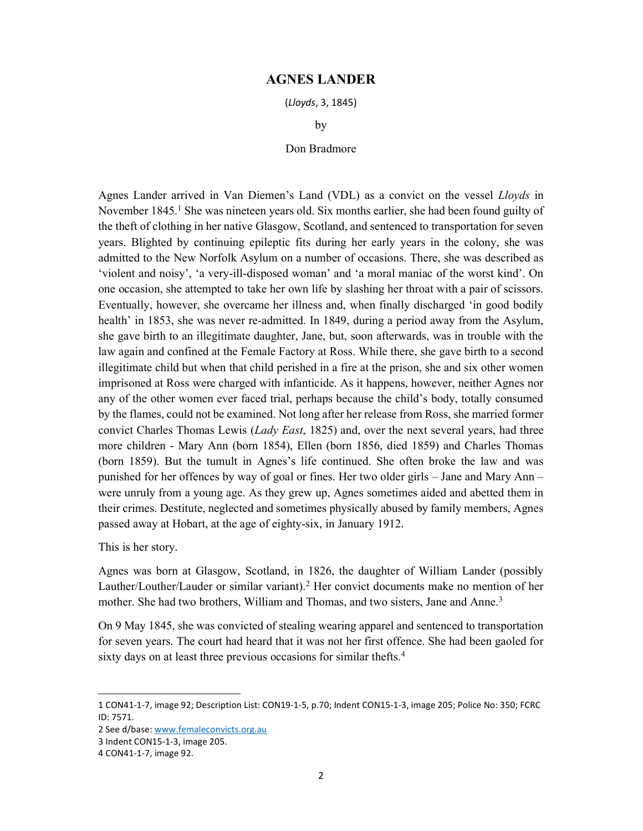## AGNES LANDER

(Lloyds, 3, 1845)

by

## Don Bradmore

Agnes Lander arrived in Van Diemen's Land (VDL) as a convict on the vessel Lloyds in November 1845.<sup>1</sup> She was nineteen years old. Six months earlier, she had been found guilty of the theft of clothing in her native Glasgow, Scotland, and sentenced to transportation for seven years. Blighted by continuing epileptic fits during her early years in the colony, she was admitted to the New Norfolk Asylum on a number of occasions. There, she was described as 'violent and noisy', 'a very-ill-disposed woman' and 'a moral maniac of the worst kind'. On one occasion, she attempted to take her own life by slashing her throat with a pair of scissors. Eventually, however, she overcame her illness and, when finally discharged 'in good bodily health' in 1853, she was never re-admitted. In 1849, during a period away from the Asylum, she gave birth to an illegitimate daughter, Jane, but, soon afterwards, was in trouble with the law again and confined at the Female Factory at Ross. While there, she gave birth to a second illegitimate child but when that child perished in a fire at the prison, she and six other women imprisoned at Ross were charged with infanticide. As it happens, however, neither Agnes nor any of the other women ever faced trial, perhaps because the child's body, totally consumed by the flames, could not be examined. Not long after her release from Ross, she married former convict Charles Thomas Lewis (*Lady East*, 1825) and, over the next several years, had three more children - Mary Ann (born 1854), Ellen (born 1856, died 1859) and Charles Thomas (born 1859). But the tumult in Agnes's life continued. She often broke the law and was punished for her offences by way of goal or fines. Her two older girls – Jane and Mary Ann – were unruly from a young age. As they grew up, Agnes sometimes aided and abetted them in their crimes. Destitute, neglected and sometimes physically abused by family members, Agnes passed away at Hobart, at the age of eighty-six, in January 1912.

This is her story.

Agnes was born at Glasgow, Scotland, in 1826, the daughter of William Lander (possibly Lauther/Louther/Lauder or similar variant).<sup>2</sup> Her convict documents make no mention of her mother. She had two brothers, William and Thomas, and two sisters, Jane and Anne.<sup>3</sup>

On 9 May 1845, she was convicted of stealing wearing apparel and sentenced to transportation for seven years. The court had heard that it was not her first offence. She had been gaoled for sixty days on at least three previous occasions for similar thefts.<sup>4</sup>

<sup>1</sup> CON41-1-7, image 92; Description List: CON19-1-5, p.70; Indent CON15-1-3, image 205; Police No: 350; FCRC ID: 7571.

<sup>2</sup> See d/base: www.femaleconvicts.org.au

<sup>3</sup> Indent CON15-1-3, image 205.

<sup>4</sup> CON41-1-7, image 92.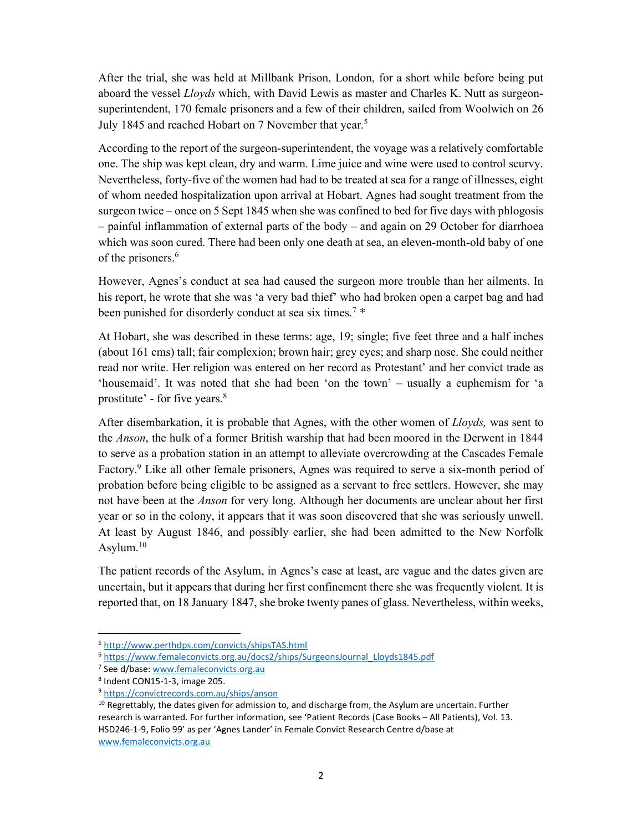After the trial, she was held at Millbank Prison, London, for a short while before being put aboard the vessel *Lloyds* which, with David Lewis as master and Charles K. Nutt as surgeonsuperintendent, 170 female prisoners and a few of their children, sailed from Woolwich on 26 July 1845 and reached Hobart on 7 November that year.<sup>5</sup>

According to the report of the surgeon-superintendent, the voyage was a relatively comfortable one. The ship was kept clean, dry and warm. Lime juice and wine were used to control scurvy. Nevertheless, forty-five of the women had had to be treated at sea for a range of illnesses, eight of whom needed hospitalization upon arrival at Hobart. Agnes had sought treatment from the surgeon twice – once on 5 Sept 1845 when she was confined to bed for five days with phlogosis – painful inflammation of external parts of the body – and again on 29 October for diarrhoea which was soon cured. There had been only one death at sea, an eleven-month-old baby of one of the prisoners.<sup>6</sup>

However, Agnes's conduct at sea had caused the surgeon more trouble than her ailments. In his report, he wrote that she was 'a very bad thief' who had broken open a carpet bag and had been punished for disorderly conduct at sea six times.<sup>7</sup> \*

At Hobart, she was described in these terms: age, 19; single; five feet three and a half inches (about 161 cms) tall; fair complexion; brown hair; grey eyes; and sharp nose. She could neither read nor write. Her religion was entered on her record as Protestant' and her convict trade as 'housemaid'. It was noted that she had been 'on the town' – usually a euphemism for 'a prostitute' - for five years.<sup>8</sup>

After disembarkation, it is probable that Agnes, with the other women of Lloyds, was sent to the Anson, the hulk of a former British warship that had been moored in the Derwent in 1844 to serve as a probation station in an attempt to alleviate overcrowding at the Cascades Female Factory.<sup>9</sup> Like all other female prisoners, Agnes was required to serve a six-month period of probation before being eligible to be assigned as a servant to free settlers. However, she may not have been at the *Anson* for very long. Although her documents are unclear about her first year or so in the colony, it appears that it was soon discovered that she was seriously unwell. At least by August 1846, and possibly earlier, she had been admitted to the New Norfolk Asylum. $10$ 

The patient records of the Asylum, in Agnes's case at least, are vague and the dates given are uncertain, but it appears that during her first confinement there she was frequently violent. It is reported that, on 18 January 1847, she broke twenty panes of glass. Nevertheless, within weeks,

<sup>5</sup> http://www.perthdps.com/convicts/shipsTAS.html

<sup>6</sup> https://www.femaleconvicts.org.au/docs2/ships/SurgeonsJournal\_Lloyds1845.pdf

<sup>&</sup>lt;sup>7</sup> See d/base: www.femaleconvicts.org.au

<sup>8</sup> Indent CON15-1-3, image 205.

<sup>9</sup> https://convictrecords.com.au/ships/anson

 $10$  Regrettably, the dates given for admission to, and discharge from, the Asylum are uncertain. Further research is warranted. For further information, see 'Patient Records (Case Books – All Patients), Vol. 13. HSD246-1-9, Folio 99' as per 'Agnes Lander' in Female Convict Research Centre d/base at www.femaleconvicts.org.au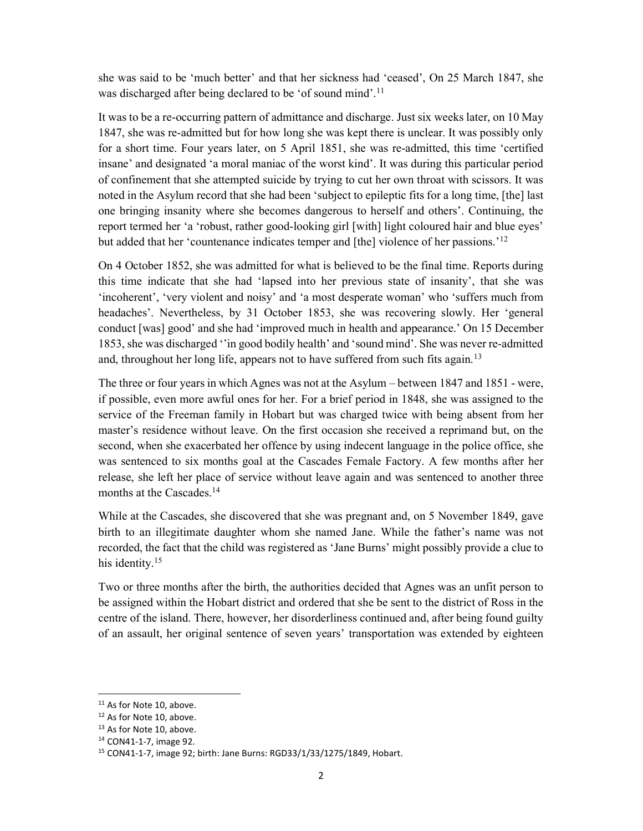she was said to be 'much better' and that her sickness had 'ceased', On 25 March 1847, she was discharged after being declared to be 'of sound mind'.<sup>11</sup>

It was to be a re-occurring pattern of admittance and discharge. Just six weeks later, on 10 May 1847, she was re-admitted but for how long she was kept there is unclear. It was possibly only for a short time. Four years later, on 5 April 1851, she was re-admitted, this time 'certified insane' and designated 'a moral maniac of the worst kind'. It was during this particular period of confinement that she attempted suicide by trying to cut her own throat with scissors. It was noted in the Asylum record that she had been 'subject to epileptic fits for a long time, [the] last one bringing insanity where she becomes dangerous to herself and others'. Continuing, the report termed her 'a 'robust, rather good-looking girl [with] light coloured hair and blue eyes' but added that her 'countenance indicates temper and [the] violence of her passions.'<sup>12</sup>

On 4 October 1852, she was admitted for what is believed to be the final time. Reports during this time indicate that she had 'lapsed into her previous state of insanity', that she was 'incoherent', 'very violent and noisy' and 'a most desperate woman' who 'suffers much from headaches'. Nevertheless, by 31 October 1853, she was recovering slowly. Her 'general conduct [was] good' and she had 'improved much in health and appearance.' On 15 December 1853, she was discharged ''in good bodily health' and 'sound mind'. She was never re-admitted and, throughout her long life, appears not to have suffered from such fits again.<sup>13</sup>

The three or four years in which Agnes was not at the Asylum – between 1847 and 1851 - were, if possible, even more awful ones for her. For a brief period in 1848, she was assigned to the service of the Freeman family in Hobart but was charged twice with being absent from her master's residence without leave. On the first occasion she received a reprimand but, on the second, when she exacerbated her offence by using indecent language in the police office, she was sentenced to six months goal at the Cascades Female Factory. A few months after her release, she left her place of service without leave again and was sentenced to another three months at the Cascades.<sup>14</sup>

While at the Cascades, she discovered that she was pregnant and, on 5 November 1849, gave birth to an illegitimate daughter whom she named Jane. While the father's name was not recorded, the fact that the child was registered as 'Jane Burns' might possibly provide a clue to his identity.<sup>15</sup>

Two or three months after the birth, the authorities decided that Agnes was an unfit person to be assigned within the Hobart district and ordered that she be sent to the district of Ross in the centre of the island. There, however, her disorderliness continued and, after being found guilty of an assault, her original sentence of seven years' transportation was extended by eighteen

<sup>&</sup>lt;sup>11</sup> As for Note 10, above.

<sup>&</sup>lt;sup>12</sup> As for Note 10, above.

<sup>&</sup>lt;sup>13</sup> As for Note 10, above.

<sup>14</sup> CON41-1-7, image 92.

<sup>15</sup> CON41-1-7, image 92; birth: Jane Burns: RGD33/1/33/1275/1849, Hobart.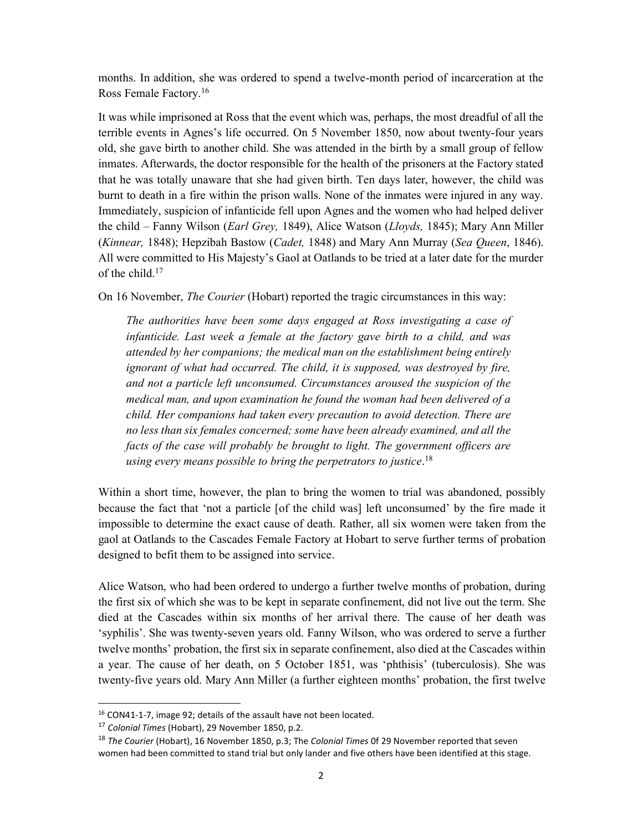months. In addition, she was ordered to spend a twelve-month period of incarceration at the Ross Female Factory.<sup>16</sup>

It was while imprisoned at Ross that the event which was, perhaps, the most dreadful of all the terrible events in Agnes's life occurred. On 5 November 1850, now about twenty-four years old, she gave birth to another child. She was attended in the birth by a small group of fellow inmates. Afterwards, the doctor responsible for the health of the prisoners at the Factory stated that he was totally unaware that she had given birth. Ten days later, however, the child was burnt to death in a fire within the prison walls. None of the inmates were injured in any way. Immediately, suspicion of infanticide fell upon Agnes and the women who had helped deliver the child – Fanny Wilson (*Earl Grey, 1849*), Alice Watson (*Lloyds, 1845*); Mary Ann Miller (Kinnear, 1848); Hepzibah Bastow (Cadet, 1848) and Mary Ann Murray (Sea Queen, 1846). All were committed to His Majesty's Gaol at Oatlands to be tried at a later date for the murder of the child.<sup>17</sup>

On 16 November, The Courier (Hobart) reported the tragic circumstances in this way:

The authorities have been some days engaged at Ross investigating a case of infanticide. Last week a female at the factory gave birth to a child, and was attended by her companions; the medical man on the establishment being entirely ignorant of what had occurred. The child, it is supposed, was destroyed by fire, and not a particle left unconsumed. Circumstances aroused the suspicion of the medical man, and upon examination he found the woman had been delivered of a child. Her companions had taken every precaution to avoid detection. There are no less than six females concerned; some have been already examined, and all the facts of the case will probably be brought to light. The government officers are using every means possible to bring the perpetrators to justice.<sup>18</sup>

Within a short time, however, the plan to bring the women to trial was abandoned, possibly because the fact that 'not a particle [of the child was] left unconsumed' by the fire made it impossible to determine the exact cause of death. Rather, all six women were taken from the gaol at Oatlands to the Cascades Female Factory at Hobart to serve further terms of probation designed to befit them to be assigned into service.

Alice Watson, who had been ordered to undergo a further twelve months of probation, during the first six of which she was to be kept in separate confinement, did not live out the term. She died at the Cascades within six months of her arrival there. The cause of her death was 'syphilis'. She was twenty-seven years old. Fanny Wilson, who was ordered to serve a further twelve months' probation, the first six in separate confinement, also died at the Cascades within a year. The cause of her death, on 5 October 1851, was 'phthisis' (tuberculosis). She was twenty-five years old. Mary Ann Miller (a further eighteen months' probation, the first twelve

<sup>16</sup> CON41-1-7, image 92; details of the assault have not been located.

<sup>17</sup> Colonial Times (Hobart), 29 November 1850, p.2.

<sup>&</sup>lt;sup>18</sup> The Courier (Hobart), 16 November 1850, p.3; The Colonial Times 0f 29 November reported that seven women had been committed to stand trial but only lander and five others have been identified at this stage.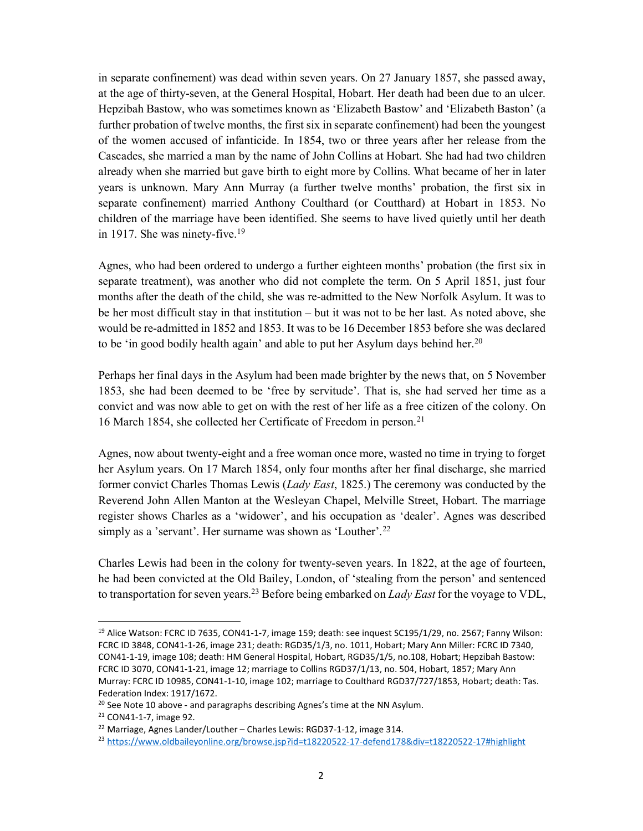in separate confinement) was dead within seven years. On 27 January 1857, she passed away, at the age of thirty-seven, at the General Hospital, Hobart. Her death had been due to an ulcer. Hepzibah Bastow, who was sometimes known as 'Elizabeth Bastow' and 'Elizabeth Baston' (a further probation of twelve months, the first six in separate confinement) had been the youngest of the women accused of infanticide. In 1854, two or three years after her release from the Cascades, she married a man by the name of John Collins at Hobart. She had had two children already when she married but gave birth to eight more by Collins. What became of her in later years is unknown. Mary Ann Murray (a further twelve months' probation, the first six in separate confinement) married Anthony Coulthard (or Coutthard) at Hobart in 1853. No children of the marriage have been identified. She seems to have lived quietly until her death in 1917. She was ninety-five.<sup>19</sup>

Agnes, who had been ordered to undergo a further eighteen months' probation (the first six in separate treatment), was another who did not complete the term. On 5 April 1851, just four months after the death of the child, she was re-admitted to the New Norfolk Asylum. It was to be her most difficult stay in that institution – but it was not to be her last. As noted above, she would be re-admitted in 1852 and 1853. It was to be 16 December 1853 before she was declared to be 'in good bodily health again' and able to put her Asylum days behind her.<sup>20</sup>

Perhaps her final days in the Asylum had been made brighter by the news that, on 5 November 1853, she had been deemed to be 'free by servitude'. That is, she had served her time as a convict and was now able to get on with the rest of her life as a free citizen of the colony. On 16 March 1854, she collected her Certificate of Freedom in person.<sup>21</sup>

Agnes, now about twenty-eight and a free woman once more, wasted no time in trying to forget her Asylum years. On 17 March 1854, only four months after her final discharge, she married former convict Charles Thomas Lewis (Lady East, 1825.) The ceremony was conducted by the Reverend John Allen Manton at the Wesleyan Chapel, Melville Street, Hobart. The marriage register shows Charles as a 'widower', and his occupation as 'dealer'. Agnes was described simply as a 'servant'. Her surname was shown as 'Louther'.<sup>22</sup>

Charles Lewis had been in the colony for twenty-seven years. In 1822, at the age of fourteen, he had been convicted at the Old Bailey, London, of 'stealing from the person' and sentenced to transportation for seven years.<sup>23</sup> Before being embarked on *Lady East* for the voyage to VDL,

<sup>&</sup>lt;sup>19</sup> Alice Watson: FCRC ID 7635, CON41-1-7, image 159; death: see inquest SC195/1/29, no. 2567; Fanny Wilson: FCRC ID 3848, CON41-1-26, image 231; death: RGD35/1/3, no. 1011, Hobart; Mary Ann Miller: FCRC ID 7340, CON41-1-19, image 108; death: HM General Hospital, Hobart, RGD35/1/5, no.108, Hobart; Hepzibah Bastow: FCRC ID 3070, CON41-1-21, image 12; marriage to Collins RGD37/1/13, no. 504, Hobart, 1857; Mary Ann Murray: FCRC ID 10985, CON41-1-10, image 102; marriage to Coulthard RGD37/727/1853, Hobart; death: Tas. Federation Index: 1917/1672.

 $20$  See Note 10 above - and paragraphs describing Agnes's time at the NN Asylum.

<sup>21</sup> CON41-1-7, image 92.

<sup>&</sup>lt;sup>22</sup> Marriage, Agnes Lander/Louther – Charles Lewis: RGD37-1-12, image 314.

<sup>23</sup> https://www.oldbaileyonline.org/browse.jsp?id=t18220522-17-defend178&div=t18220522-17#highlight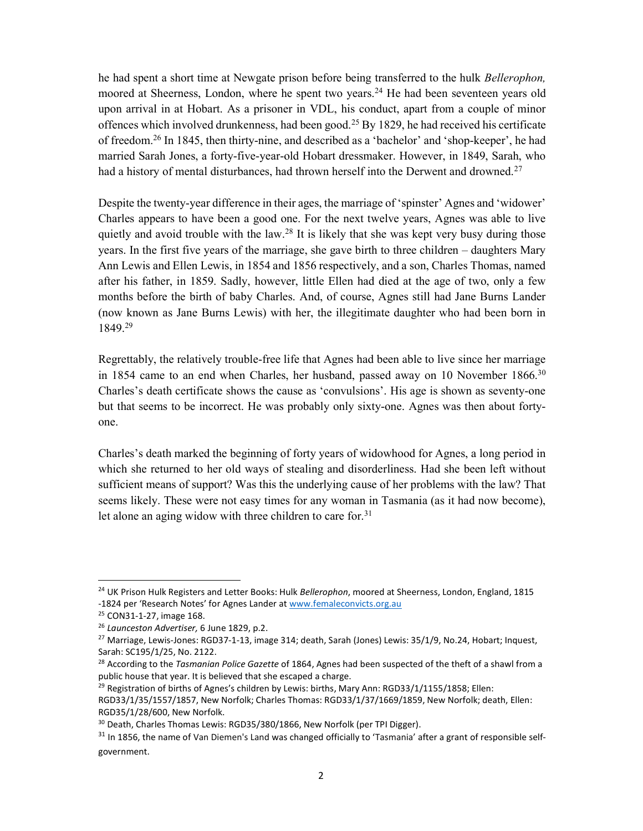he had spent a short time at Newgate prison before being transferred to the hulk Bellerophon, moored at Sheerness, London, where he spent two years.<sup>24</sup> He had been seventeen years old upon arrival in at Hobart. As a prisoner in VDL, his conduct, apart from a couple of minor offences which involved drunkenness, had been good.<sup>25</sup> By 1829, he had received his certificate of freedom.<sup>26</sup> In 1845, then thirty-nine, and described as a 'bachelor' and 'shop-keeper', he had married Sarah Jones, a forty-five-year-old Hobart dressmaker. However, in 1849, Sarah, who had a history of mental disturbances, had thrown herself into the Derwent and drowned.<sup>27</sup>

Despite the twenty-year difference in their ages, the marriage of 'spinster' Agnes and 'widower' Charles appears to have been a good one. For the next twelve years, Agnes was able to live quietly and avoid trouble with the law.<sup>28</sup> It is likely that she was kept very busy during those years. In the first five years of the marriage, she gave birth to three children – daughters Mary Ann Lewis and Ellen Lewis, in 1854 and 1856 respectively, and a son, Charles Thomas, named after his father, in 1859. Sadly, however, little Ellen had died at the age of two, only a few months before the birth of baby Charles. And, of course, Agnes still had Jane Burns Lander (now known as Jane Burns Lewis) with her, the illegitimate daughter who had been born in 1849.<sup>29</sup>

Regrettably, the relatively trouble-free life that Agnes had been able to live since her marriage in 1854 came to an end when Charles, her husband, passed away on 10 November  $1866$ .<sup>30</sup> Charles's death certificate shows the cause as 'convulsions'. His age is shown as seventy-one but that seems to be incorrect. He was probably only sixty-one. Agnes was then about fortyone.

Charles's death marked the beginning of forty years of widowhood for Agnes, a long period in which she returned to her old ways of stealing and disorderliness. Had she been left without sufficient means of support? Was this the underlying cause of her problems with the law? That seems likely. These were not easy times for any woman in Tasmania (as it had now become), let alone an aging widow with three children to care for.<sup>31</sup>

<sup>&</sup>lt;sup>24</sup> UK Prison Hulk Registers and Letter Books: Hulk Bellerophon, moored at Sheerness, London, England, 1815 -1824 per 'Research Notes' for Agnes Lander at www.femaleconvicts.org.au

<sup>25</sup> CON31-1-27, image 168.

<sup>&</sup>lt;sup>26</sup> Launceston Advertiser, 6 June 1829, p.2.

<sup>&</sup>lt;sup>27</sup> Marriage, Lewis-Jones: RGD37-1-13, image 314; death, Sarah (Jones) Lewis: 35/1/9, No.24, Hobart; Inquest, Sarah: SC195/1/25, No. 2122.

<sup>&</sup>lt;sup>28</sup> According to the Tasmanian Police Gazette of 1864, Agnes had been suspected of the theft of a shawl from a public house that year. It is believed that she escaped a charge.

<sup>&</sup>lt;sup>29</sup> Registration of births of Agnes's children by Lewis: births, Mary Ann: RGD33/1/1155/1858; Ellen: RGD33/1/35/1557/1857, New Norfolk; Charles Thomas: RGD33/1/37/1669/1859, New Norfolk; death, Ellen: RGD35/1/28/600, New Norfolk.

<sup>&</sup>lt;sup>30</sup> Death, Charles Thomas Lewis: RGD35/380/1866, New Norfolk (per TPI Digger).

<sup>&</sup>lt;sup>31</sup> In 1856, the name of Van Diemen's Land was changed officially to 'Tasmania' after a grant of responsible selfgovernment.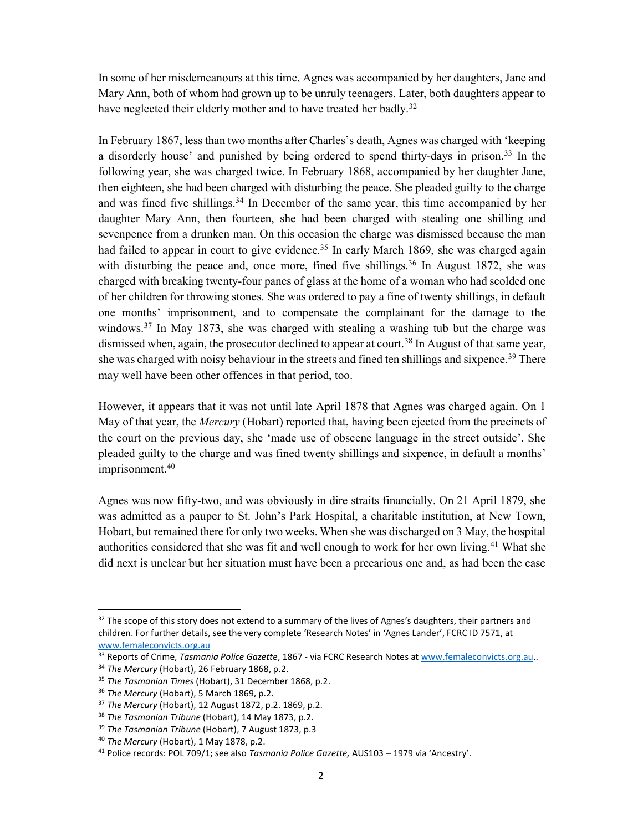In some of her misdemeanours at this time, Agnes was accompanied by her daughters, Jane and Mary Ann, both of whom had grown up to be unruly teenagers. Later, both daughters appear to have neglected their elderly mother and to have treated her badly.<sup>32</sup>

In February 1867, less than two months after Charles's death, Agnes was charged with 'keeping a disorderly house' and punished by being ordered to spend thirty-days in prison.<sup>33</sup> In the following year, she was charged twice. In February 1868, accompanied by her daughter Jane, then eighteen, she had been charged with disturbing the peace. She pleaded guilty to the charge and was fined five shillings.<sup>34</sup> In December of the same year, this time accompanied by her daughter Mary Ann, then fourteen, she had been charged with stealing one shilling and sevenpence from a drunken man. On this occasion the charge was dismissed because the man had failed to appear in court to give evidence.<sup>35</sup> In early March 1869, she was charged again with disturbing the peace and, once more, fined five shillings.<sup>36</sup> In August 1872, she was charged with breaking twenty-four panes of glass at the home of a woman who had scolded one of her children for throwing stones. She was ordered to pay a fine of twenty shillings, in default one months' imprisonment, and to compensate the complainant for the damage to the windows.<sup>37</sup> In May 1873, she was charged with stealing a washing tub but the charge was dismissed when, again, the prosecutor declined to appear at court.<sup>38</sup> In August of that same year, she was charged with noisy behaviour in the streets and fined ten shillings and sixpence.<sup>39</sup> There may well have been other offences in that period, too.

However, it appears that it was not until late April 1878 that Agnes was charged again. On 1 May of that year, the *Mercury* (Hobart) reported that, having been ejected from the precincts of the court on the previous day, she 'made use of obscene language in the street outside'. She pleaded guilty to the charge and was fined twenty shillings and sixpence, in default a months' imprisonment.<sup>40</sup>

Agnes was now fifty-two, and was obviously in dire straits financially. On 21 April 1879, she was admitted as a pauper to St. John's Park Hospital, a charitable institution, at New Town, Hobart, but remained there for only two weeks. When she was discharged on 3 May, the hospital authorities considered that she was fit and well enough to work for her own living.<sup>41</sup> What she did next is unclear but her situation must have been a precarious one and, as had been the case

 $32$  The scope of this story does not extend to a summary of the lives of Agnes's daughters, their partners and children. For further details, see the very complete 'Research Notes' in 'Agnes Lander', FCRC ID 7571, at www.femaleconvicts.org.au

<sup>&</sup>lt;sup>33</sup> Reports of Crime, Tasmania Police Gazette, 1867 - via FCRC Research Notes at www.femaleconvicts.org.au..

<sup>&</sup>lt;sup>34</sup> The Mercury (Hobart), 26 February 1868, p.2.

<sup>&</sup>lt;sup>35</sup> The Tasmanian Times (Hobart), 31 December 1868, p.2.

<sup>&</sup>lt;sup>36</sup> The Mercury (Hobart), 5 March 1869, p.2.

<sup>37</sup> The Mercury (Hobart), 12 August 1872, p.2. 1869, p.2.

<sup>&</sup>lt;sup>38</sup> The Tasmanian Tribune (Hobart), 14 May 1873, p.2.

<sup>&</sup>lt;sup>39</sup> The Tasmanian Tribune (Hobart), 7 August 1873, p.3

<sup>40</sup> The Mercury (Hobart), 1 May 1878, p.2.

<sup>&</sup>lt;sup>41</sup> Police records: POL 709/1; see also Tasmania Police Gazette, AUS103 - 1979 via 'Ancestry'.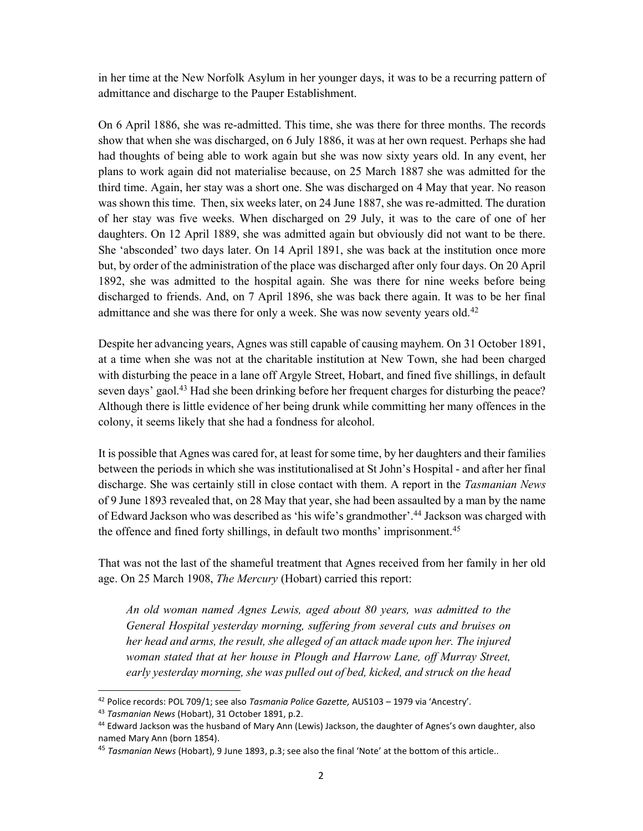in her time at the New Norfolk Asylum in her younger days, it was to be a recurring pattern of admittance and discharge to the Pauper Establishment.

On 6 April 1886, she was re-admitted. This time, she was there for three months. The records show that when she was discharged, on 6 July 1886, it was at her own request. Perhaps she had had thoughts of being able to work again but she was now sixty years old. In any event, her plans to work again did not materialise because, on 25 March 1887 she was admitted for the third time. Again, her stay was a short one. She was discharged on 4 May that year. No reason was shown this time. Then, six weeks later, on 24 June 1887, she was re-admitted. The duration of her stay was five weeks. When discharged on 29 July, it was to the care of one of her daughters. On 12 April 1889, she was admitted again but obviously did not want to be there. She 'absconded' two days later. On 14 April 1891, she was back at the institution once more but, by order of the administration of the place was discharged after only four days. On 20 April 1892, she was admitted to the hospital again. She was there for nine weeks before being discharged to friends. And, on 7 April 1896, she was back there again. It was to be her final admittance and she was there for only a week. She was now seventy years old.<sup>42</sup>

Despite her advancing years, Agnes was still capable of causing mayhem. On 31 October 1891, at a time when she was not at the charitable institution at New Town, she had been charged with disturbing the peace in a lane off Argyle Street, Hobart, and fined five shillings, in default seven days' gaol.<sup>43</sup> Had she been drinking before her frequent charges for disturbing the peace? Although there is little evidence of her being drunk while committing her many offences in the colony, it seems likely that she had a fondness for alcohol.

It is possible that Agnes was cared for, at least for some time, by her daughters and their families between the periods in which she was institutionalised at St John's Hospital - and after her final discharge. She was certainly still in close contact with them. A report in the Tasmanian News of 9 June 1893 revealed that, on 28 May that year, she had been assaulted by a man by the name of Edward Jackson who was described as 'his wife's grandmother'.<sup>44</sup> Jackson was charged with the offence and fined forty shillings, in default two months' imprisonment.<sup>45</sup>

That was not the last of the shameful treatment that Agnes received from her family in her old age. On 25 March 1908, The Mercury (Hobart) carried this report:

An old woman named Agnes Lewis, aged about 80 years, was admitted to the General Hospital yesterday morning, suffering from several cuts and bruises on her head and arms, the result, she alleged of an attack made upon her. The injured woman stated that at her house in Plough and Harrow Lane, off Murray Street, early yesterday morning, she was pulled out of bed, kicked, and struck on the head

<sup>&</sup>lt;sup>42</sup> Police records: POL 709/1; see also Tasmania Police Gazette, AUS103 - 1979 via 'Ancestry'.

<sup>43</sup> Tasmanian News (Hobart), 31 October 1891, p.2.

<sup>&</sup>lt;sup>44</sup> Edward Jackson was the husband of Mary Ann (Lewis) Jackson, the daughter of Agnes's own daughter, also named Mary Ann (born 1854).

<sup>&</sup>lt;sup>45</sup> Tasmanian News (Hobart), 9 June 1893, p.3; see also the final 'Note' at the bottom of this article..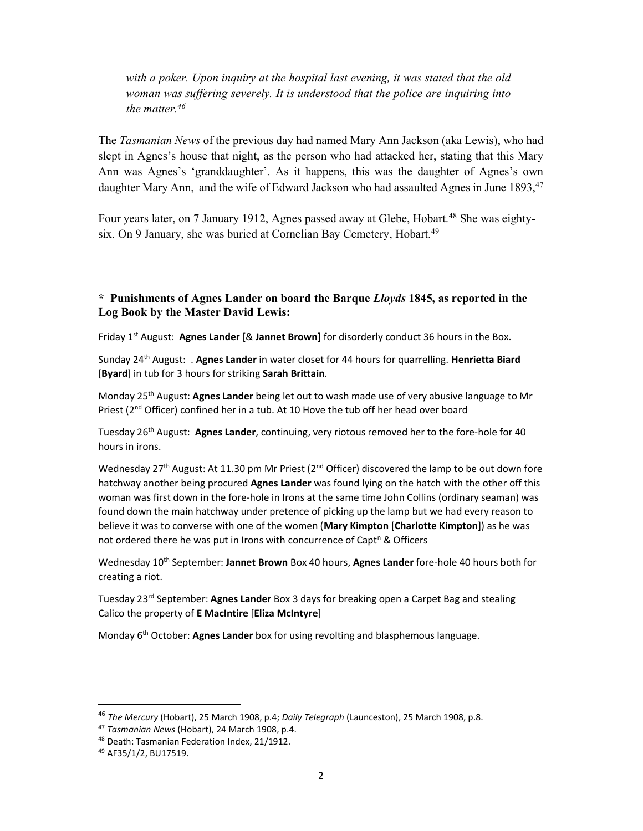with a poker. Upon inquiry at the hospital last evening, it was stated that the old woman was suffering severely. It is understood that the police are inquiring into the matter.  $46$ 

The Tasmanian News of the previous day had named Mary Ann Jackson (aka Lewis), who had slept in Agnes's house that night, as the person who had attacked her, stating that this Mary Ann was Agnes's 'granddaughter'. As it happens, this was the daughter of Agnes's own daughter Mary Ann, and the wife of Edward Jackson who had assaulted Agnes in June 1893, <sup>47</sup>

Four years later, on 7 January 1912, Agnes passed away at Glebe, Hobart.<sup>48</sup> She was eightysix. On 9 January, she was buried at Cornelian Bay Cemetery, Hobart.<sup>49</sup>

## \* Punishments of Agnes Lander on board the Barque Lloyds 1845, as reported in the Log Book by the Master David Lewis:

Friday  $1<sup>st</sup>$  August: Agnes Lander [& Jannet Brown] for disorderly conduct 36 hours in the Box.

Sunday 24<sup>th</sup> August: . Agnes Lander in water closet for 44 hours for quarrelling. Henrietta Biard [Byard] in tub for 3 hours for striking Sarah Brittain.

Monday 25<sup>th</sup> August: **Agnes Lander** being let out to wash made use of very abusive language to Mr Priest ( $2^{nd}$  Officer) confined her in a tub. At 10 Hove the tub off her head over board

Tuesday 26<sup>th</sup> August: Agnes Lander, continuing, very riotous removed her to the fore-hole for 40 hours in irons.

Wednesday 27<sup>th</sup> August: At 11.30 pm Mr Priest (2<sup>nd</sup> Officer) discovered the lamp to be out down fore hatchway another being procured Agnes Lander was found lying on the hatch with the other off this woman was first down in the fore-hole in Irons at the same time John Collins (ordinary seaman) was found down the main hatchway under pretence of picking up the lamp but we had every reason to believe it was to converse with one of the women (Mary Kimpton [Charlotte Kimpton]) as he was not ordered there he was put in Irons with concurrence of Capt<sup>n</sup> & Officers

Wednesday 10<sup>th</sup> September: Jannet Brown Box 40 hours, Agnes Lander fore-hole 40 hours both for creating a riot.

Tuesday 23<sup>rd</sup> September: Agnes Lander Box 3 days for breaking open a Carpet Bag and stealing Calico the property of E MacIntire [Eliza McIntyre]

Monday 6<sup>th</sup> October: Agnes Lander box for using revolting and blasphemous language.

<sup>&</sup>lt;sup>46</sup> The Mercury (Hobart), 25 March 1908, p.4; Daily Telegraph (Launceston), 25 March 1908, p.8.

<sup>&</sup>lt;sup>47</sup> Tasmanian News (Hobart), 24 March 1908, p.4.

<sup>48</sup> Death: Tasmanian Federation Index, 21/1912.

<sup>49</sup> AF35/1/2, BU17519.